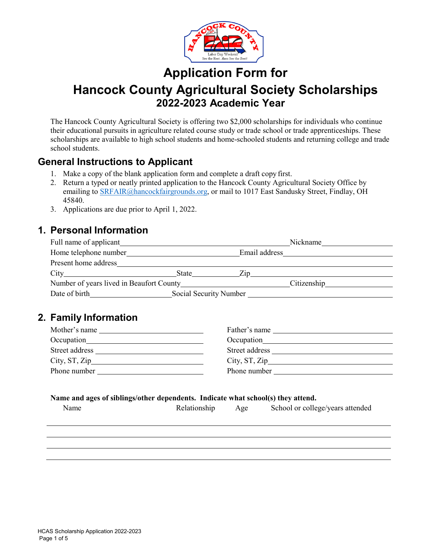

# **Application Form for Hancock County Agricultural Society Scholarships 2022-2023 Academic Year**

The Hancock County Agricultural Society is offering two \$2,000 scholarships for individuals who continue their educational pursuits in agriculture related course study or trade school or trade apprenticeships. These scholarships are available to high school students and home-schooled students and returning college and trade school students.

### **General Instructions to Applicant**

- 1. Make a copy of the blank application form and complete a draft copy first.
- 2. Return a typed or neatly printed application to the Hancock County Agricultural Society Office by emailing to [SRFAIR@hancockfairgrounds.org,](mailto:SRFAIR@hancockfairgrounds.org) or mail to 1017 East Sandusky Street, Findlay, OH 45840.
- 3. Applications are due prior to April 1, 2022.

### **1. Personal Information**

|                                          |       |               | Nickname                |  |
|------------------------------------------|-------|---------------|-------------------------|--|
| Home telephone number                    |       | Email address |                         |  |
| Present home address                     |       |               |                         |  |
|                                          | State | Zip           |                         |  |
| Number of years lived in Beaufort County |       |               | Citizenship Citizenship |  |
| Date of birth                            |       |               | Social Security Number  |  |
|                                          |       |               |                         |  |
|                                          |       |               |                         |  |

## **2. Family Information**

| Mother's name  | Father's name  |
|----------------|----------------|
| Occupation     | Occupation     |
| Street address | Street address |
| City, ST, Zip  | City, ST, Zip  |
| Phone number   | Phone number   |

#### **Name and ages of siblings/other dependents. Indicate what school(s) they attend.**

| Relationshi |
|-------------|

Name Relationship Age School or college/years attended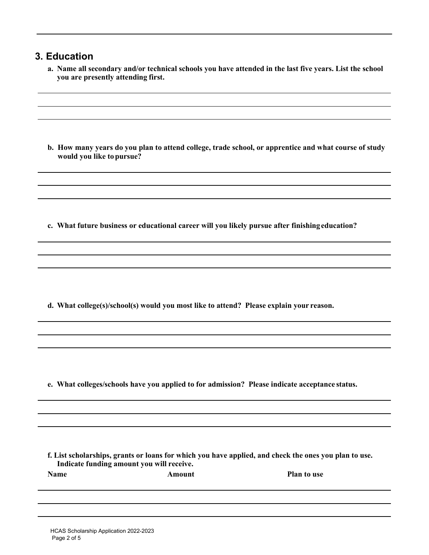### **3. Education**

**a. Name all secondary and/or technical schools you have attended in the last five years. List the school you are presently attending first.**

**b. How many years do you plan to attend college, trade school, or apprentice and what course of study would you like topursue?**

**c. What future business or educational career will you likely pursue after finishing education?**

**d. What college(s)/school(s) would you most like to attend? Please explain your reason.**

**e. What colleges/schools have you applied to for admission? Please indicate acceptance status.**

**f. List scholarships, grants or loans for which you have applied, and check the ones you plan to use. Indicate funding amount you will receive.**

**Amount Plan to use**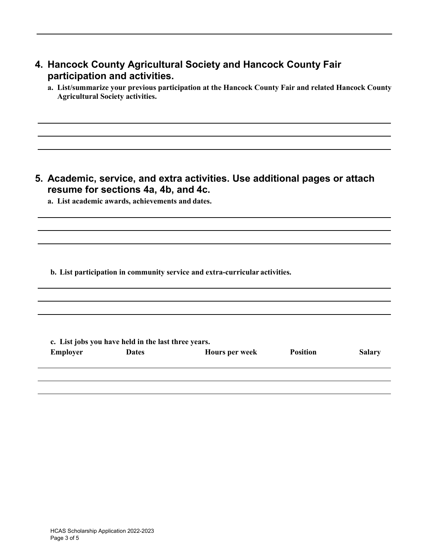- **4. Hancock County Agricultural Society and Hancock County Fair participation and activities.**
	- **a. List/summarize your previous participation at the Hancock County Fair and related Hancock County Agricultural Society activities.**

**5. Academic, service, and extra activities. Use additional pages or attach resume for sections 4a, 4b, and 4c.**

**a. List academic awards, achievements and dates.**

**b. List participation in community service and extra-curricular activities.**

| c. List jobs you have held in the last three years. |              |                       |                 |               |  |
|-----------------------------------------------------|--------------|-----------------------|-----------------|---------------|--|
| <b>Employer</b>                                     | <b>Dates</b> | <b>Hours per week</b> | <b>Position</b> | <b>Salary</b> |  |
|                                                     |              |                       |                 |               |  |
|                                                     |              |                       |                 |               |  |
|                                                     |              |                       |                 |               |  |
|                                                     |              |                       |                 |               |  |

 $\overline{a}$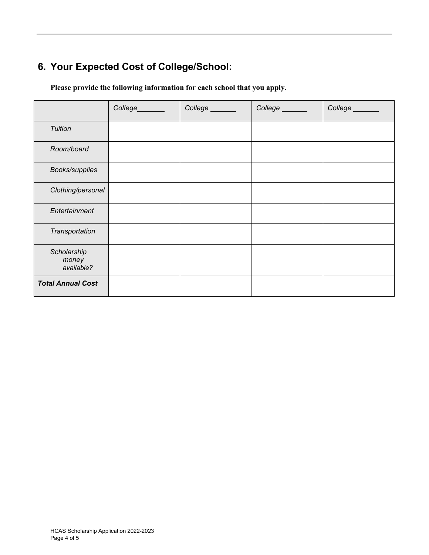## **6. Your Expected Cost of College/School:**

|                                    | College_______ | College _______ | College ______ | College ______ |
|------------------------------------|----------------|-----------------|----------------|----------------|
| Tuition                            |                |                 |                |                |
| Room/board                         |                |                 |                |                |
| <b>Books/supplies</b>              |                |                 |                |                |
| Clothing/personal                  |                |                 |                |                |
| Entertainment                      |                |                 |                |                |
| Transportation                     |                |                 |                |                |
| Scholarship<br>money<br>available? |                |                 |                |                |
| <b>Total Annual Cost</b>           |                |                 |                |                |

**Please provide the following information for each school that you apply.**